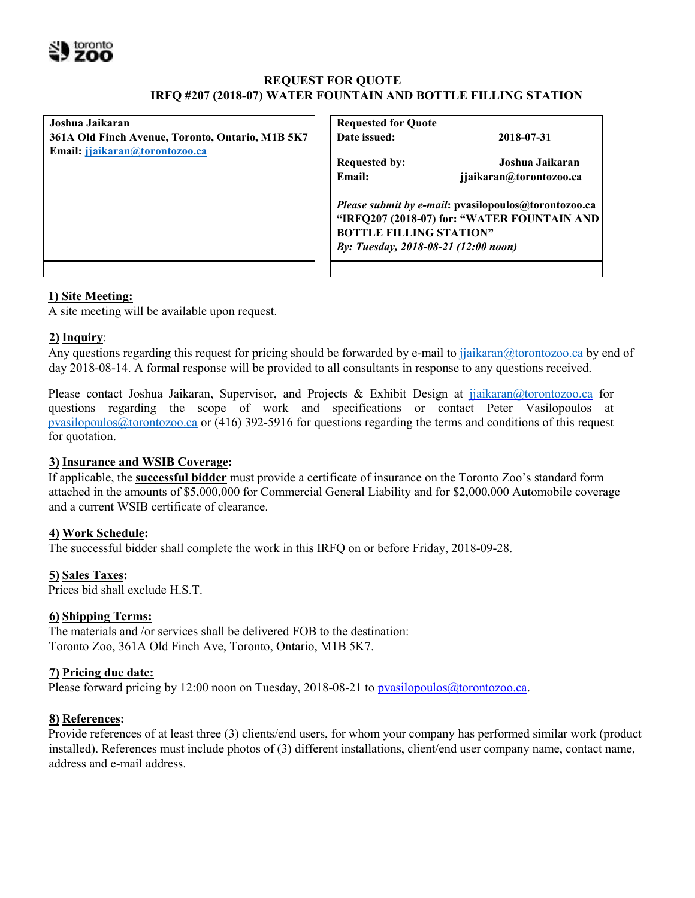

# **REQUEST FOR QUOTE IRFQ #207 (2018-07) WATER FOUNTAIN AND BOTTLE FILLING STATION**

| Joshua Jaikaran                                  |  |  |  |  |
|--------------------------------------------------|--|--|--|--|
| 361A Old Finch Avenue, Toronto, Ontario, M1B 5K7 |  |  |  |  |
| Email: jjaikaran@torontozoo.ca                   |  |  |  |  |
|                                                  |  |  |  |  |
|                                                  |  |  |  |  |
|                                                  |  |  |  |  |
|                                                  |  |  |  |  |
|                                                  |  |  |  |  |
|                                                  |  |  |  |  |
|                                                  |  |  |  |  |
|                                                  |  |  |  |  |
|                                                  |  |  |  |  |

**Requested for Quote Date issued: 2018-07-31**

**Requested by: Joshua Jaikaran Email: jjaikaran@torontozoo.ca**

*Please submit by e-mail***: pvasilopoulos@torontozoo.ca "IRFQ207 (2018-07) for: "WATER FOUNTAIN AND BOTTLE FILLING STATION"**  *By: Tuesday, 2018-08-21 (12:00 noon)*

# **1) Site Meeting:**

A site meeting will be available upon request.

# **2) Inquiry**:

Any questions regarding this request for pricing should be forwarded by e-mail to jjaikaran@torontozoo.ca by end of day 2018-08-14. A formal response will be provided to all consultants in response to any questions received.

Please contact Joshua Jaikaran, Supervisor, and Projects & Exhibit Design at jiaikaran@torontozoo.ca for questions regarding the scope of work and specifications or contact Peter Vasilopoulos at pvasilopoulos@torontozoo.ca or (416) 392-5916 for questions regarding the terms and conditions of this request for quotation.

# **3) Insurance and WSIB Coverage:**

If applicable, the **successful bidder** must provide a certificate of insurance on the Toronto Zoo's standard form attached in the amounts of \$5,000,000 for Commercial General Liability and for \$2,000,000 Automobile coverage and a current WSIB certificate of clearance.

# **4) Work Schedule:**

The successful bidder shall complete the work in this IRFQ on or before Friday, 2018-09-28.

# **5) Sales Taxes:**

Prices bid shall exclude H.S.T.

# **6) Shipping Terms:**

The materials and /or services shall be delivered FOB to the destination: Toronto Zoo, 361A Old Finch Ave, Toronto, Ontario, M1B 5K7.

# **7) Pricing due date:**

Please forward pricing by 12:00 noon on Tuesday, 2018-08-21 to pvasilopoulos@torontozoo.ca.

# **8) References:**

Provide references of at least three (3) clients/end users, for whom your company has performed similar work (product installed). References must include photos of (3) different installations, client/end user company name, contact name, address and e-mail address.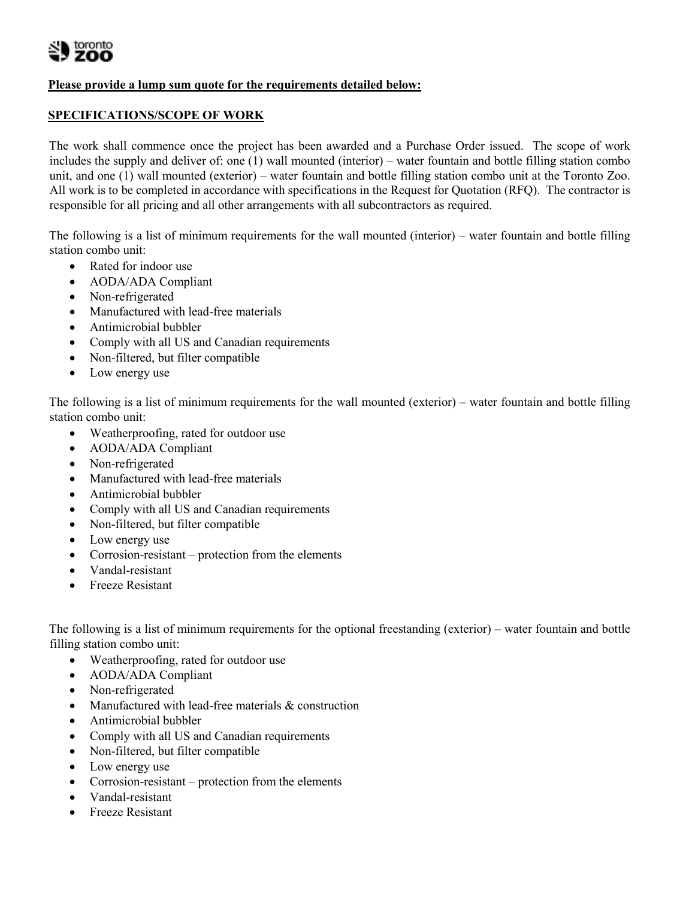## **Please provide a lump sum quote for the requirements detailed below:**

## **SPECIFICATIONS/SCOPE OF WORK**

The work shall commence once the project has been awarded and a Purchase Order issued. The scope of work includes the supply and deliver of: one (1) wall mounted (interior) – water fountain and bottle filling station combo unit, and one (1) wall mounted (exterior) – water fountain and bottle filling station combo unit at the Toronto Zoo. All work is to be completed in accordance with specifications in the Request for Quotation (RFQ). The contractor is responsible for all pricing and all other arrangements with all subcontractors as required.

The following is a list of minimum requirements for the wall mounted (interior) – water fountain and bottle filling station combo unit:

- Rated for indoor use
- AODA/ADA Compliant
- Non-refrigerated
- Manufactured with lead-free materials
- Antimicrobial bubbler
- Comply with all US and Canadian requirements
- Non-filtered, but filter compatible
- Low energy use

The following is a list of minimum requirements for the wall mounted (exterior) – water fountain and bottle filling station combo unit:

- Weatherproofing, rated for outdoor use
- AODA/ADA Compliant
- Non-refrigerated
- Manufactured with lead-free materials
- Antimicrobial bubbler
- Comply with all US and Canadian requirements
- Non-filtered, but filter compatible
- Low energy use
- Corrosion-resistant protection from the elements
- Vandal-resistant
- **•** Freeze Resistant

The following is a list of minimum requirements for the optional freestanding (exterior) – water fountain and bottle filling station combo unit:

- Weatherproofing, rated for outdoor use
- AODA/ADA Compliant
- Non-refrigerated
- Manufactured with lead-free materials & construction
- Antimicrobial bubbler
- Comply with all US and Canadian requirements
- Non-filtered, but filter compatible
- Low energy use
- Corrosion-resistant protection from the elements
- Vandal-resistant
- Freeze Resistant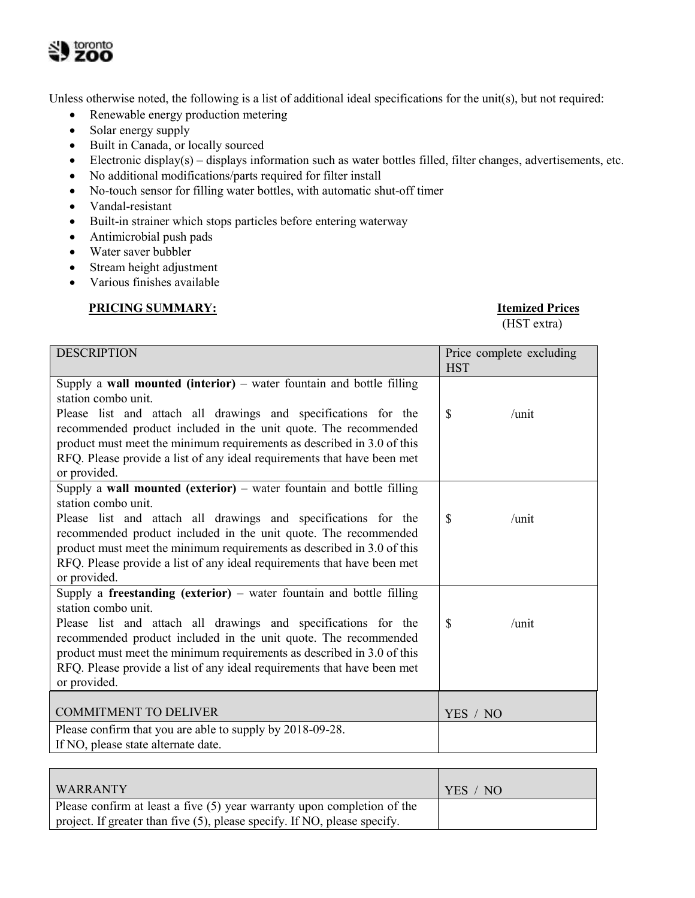

Unless otherwise noted, the following is a list of additional ideal specifications for the unit(s), but not required:

- Renewable energy production metering
- Solar energy supply
- Built in Canada, or locally sourced
- Electronic display(s) displays information such as water bottles filled, filter changes, advertisements, etc.
- No additional modifications/parts required for filter install
- No-touch sensor for filling water bottles, with automatic shut-off timer
- Vandal-resistant
- Built-in strainer which stops particles before entering waterway
- Antimicrobial push pads
- Water saver bubbler
- Stream height adjustment
- Various finishes available

## **PRICING SUMMARY: Itemized Prices**

(HST extra)

| <b>DESCRIPTION</b>                                                                                                                                                                                                                                                                                     | Price complete excluding<br><b>HST</b> |
|--------------------------------------------------------------------------------------------------------------------------------------------------------------------------------------------------------------------------------------------------------------------------------------------------------|----------------------------------------|
| Supply a wall mounted (interior) $-$ water fountain and bottle filling<br>station combo unit.                                                                                                                                                                                                          |                                        |
| Please list and attach all drawings and specifications for the<br>recommended product included in the unit quote. The recommended<br>product must meet the minimum requirements as described in 3.0 of this<br>RFQ. Please provide a list of any ideal requirements that have been met<br>or provided. | $\mathcal{S}$<br>/unit                 |
| Supply a wall mounted (exterior) - water fountain and bottle filling<br>station combo unit.                                                                                                                                                                                                            |                                        |
| Please list and attach all drawings and specifications for the<br>recommended product included in the unit quote. The recommended<br>product must meet the minimum requirements as described in 3.0 of this<br>RFQ. Please provide a list of any ideal requirements that have been met<br>or provided. | $\mathcal{S}$<br>/unit                 |
| Supply a freestanding (exterior) – water fountain and bottle filling<br>station combo unit.                                                                                                                                                                                                            |                                        |
| Please list and attach all drawings and specifications for the<br>recommended product included in the unit quote. The recommended<br>product must meet the minimum requirements as described in 3.0 of this<br>RFQ. Please provide a list of any ideal requirements that have been met<br>or provided. | \$<br>/unit                            |
| <b>COMMITMENT TO DELIVER</b>                                                                                                                                                                                                                                                                           | YES / NO                               |
| Please confirm that you are able to supply by 2018-09-28.<br>If NO, please state alternate date.                                                                                                                                                                                                       |                                        |

| WARRANTY                                                                  | YES / NO |
|---------------------------------------------------------------------------|----------|
| Please confirm at least a five $(5)$ year warranty upon completion of the |          |
| project. If greater than five (5), please specify. If NO, please specify. |          |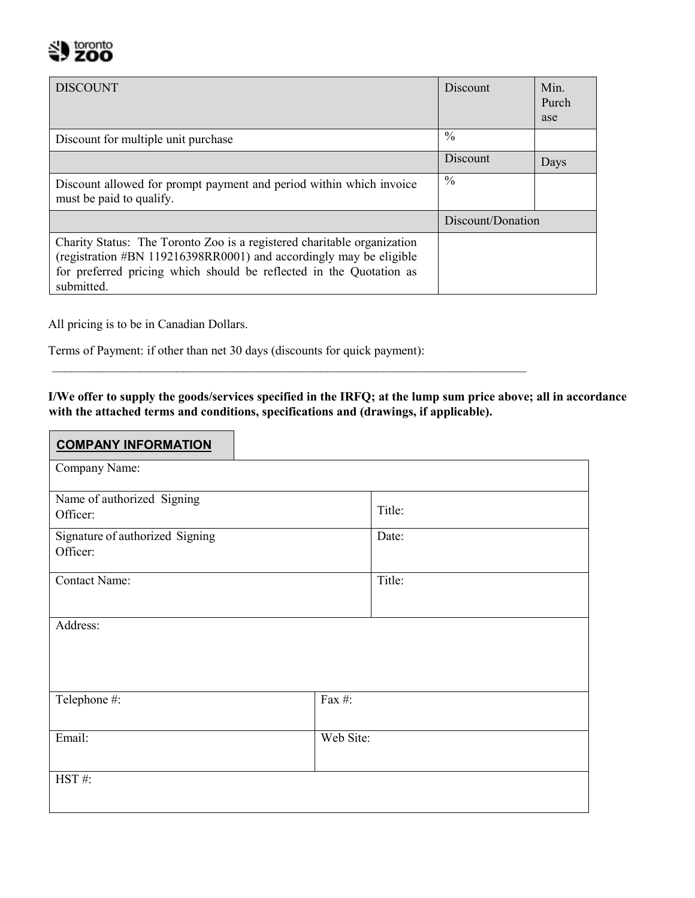

| <b>DISCOUNT</b>                                                                                                                                                                                                                    | Discount          | Min.<br>Purch<br>ase |
|------------------------------------------------------------------------------------------------------------------------------------------------------------------------------------------------------------------------------------|-------------------|----------------------|
| Discount for multiple unit purchase                                                                                                                                                                                                | $\frac{0}{0}$     |                      |
|                                                                                                                                                                                                                                    | Discount          | Days                 |
| Discount allowed for prompt payment and period within which invoice<br>must be paid to qualify.                                                                                                                                    | $\frac{0}{0}$     |                      |
|                                                                                                                                                                                                                                    | Discount/Donation |                      |
| Charity Status: The Toronto Zoo is a registered charitable organization<br>(registration #BN 119216398RR0001) and accordingly may be eligible<br>for preferred pricing which should be reflected in the Quotation as<br>submitted. |                   |                      |

All pricing is to be in Canadian Dollars.

Terms of Payment: if other than net 30 days (discounts for quick payment):

**I/We offer to supply the goods/services specified in the IRFQ; at the lump sum price above; all in accordance with the attached terms and conditions, specifications and (drawings, if applicable).** 

\_\_\_\_\_\_\_\_\_\_\_\_\_\_\_\_\_\_\_\_\_\_\_\_\_\_\_\_\_\_\_\_\_\_\_\_\_\_\_\_\_\_\_\_\_\_\_\_\_\_\_\_\_\_\_\_\_\_\_\_\_\_\_\_\_\_\_\_\_\_\_\_\_\_\_\_

| <b>COMPANY INFORMATION</b>                  |           |        |  |  |  |
|---------------------------------------------|-----------|--------|--|--|--|
| Company Name:                               |           |        |  |  |  |
| Name of authorized Signing<br>Officer:      |           | Title: |  |  |  |
| Signature of authorized Signing<br>Officer: |           | Date:  |  |  |  |
| Contact Name:                               |           | Title: |  |  |  |
| Address:                                    |           |        |  |  |  |
| Telephone #:                                | Fax #:    |        |  |  |  |
| Email:                                      | Web Site: |        |  |  |  |
| HST#:                                       |           |        |  |  |  |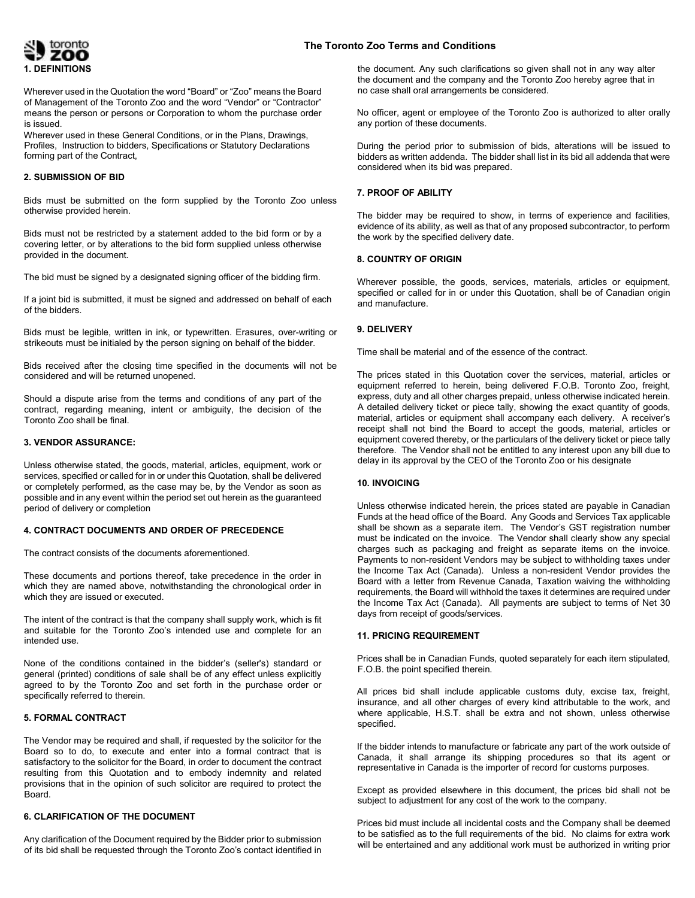

Wherever used in the Quotation the word "Board" or "Zoo" means the Board of Management of the Toronto Zoo and the word "Vendor" or "Contractor" means the person or persons or Corporation to whom the purchase order is issued.

Wherever used in these General Conditions, or in the Plans, Drawings, Profiles, Instruction to bidders, Specifications or Statutory Declarations forming part of the Contract,

## **2. SUBMISSION OF BID**

Bids must be submitted on the form supplied by the Toronto Zoo unless otherwise provided herein.

Bids must not be restricted by a statement added to the bid form or by a covering letter, or by alterations to the bid form supplied unless otherwise provided in the document.

The bid must be signed by a designated signing officer of the bidding firm.

If a joint bid is submitted, it must be signed and addressed on behalf of each of the bidders.

Bids must be legible, written in ink, or typewritten. Erasures, over-writing or strikeouts must be initialed by the person signing on behalf of the bidder.

Bids received after the closing time specified in the documents will not be considered and will be returned unopened.

Should a dispute arise from the terms and conditions of any part of the contract, regarding meaning, intent or ambiguity, the decision of the Toronto Zoo shall be final.

## **3. VENDOR ASSURANCE:**

Unless otherwise stated, the goods, material, articles, equipment, work or services, specified or called for in or under this Quotation, shall be delivered or completely performed, as the case may be, by the Vendor as soon as possible and in any event within the period set out herein as the guaranteed period of delivery or completion

#### **4. CONTRACT DOCUMENTS AND ORDER OF PRECEDENCE**

The contract consists of the documents aforementioned.

These documents and portions thereof, take precedence in the order in which they are named above, notwithstanding the chronological order in which they are issued or executed.

The intent of the contract is that the company shall supply work, which is fit and suitable for the Toronto Zoo's intended use and complete for an intended use.

None of the conditions contained in the bidder's (seller's) standard or general (printed) conditions of sale shall be of any effect unless explicitly agreed to by the Toronto Zoo and set forth in the purchase order or specifically referred to therein.

## **5. FORMAL CONTRACT**

The Vendor may be required and shall, if requested by the solicitor for the Board so to do, to execute and enter into a formal contract that is satisfactory to the solicitor for the Board, in order to document the contract resulting from this Quotation and to embody indemnity and related provisions that in the opinion of such solicitor are required to protect the Board.

#### **6. CLARIFICATION OF THE DOCUMENT**

Any clarification of the Document required by the Bidder prior to submission of its bid shall be requested through the Toronto Zoo's contact identified in the document. Any such clarifications so given shall not in any way alter the document and the company and the Toronto Zoo hereby agree that in no case shall oral arrangements be considered.

No officer, agent or employee of the Toronto Zoo is authorized to alter orally any portion of these documents.

During the period prior to submission of bids, alterations will be issued to bidders as written addenda. The bidder shall list in its bid all addenda that were considered when its bid was prepared.

#### **7. PROOF OF ABILITY**

The bidder may be required to show, in terms of experience and facilities, evidence of its ability, as well as that of any proposed subcontractor, to perform the work by the specified delivery date.

#### **8. COUNTRY OF ORIGIN**

Wherever possible, the goods, services, materials, articles or equipment, specified or called for in or under this Quotation, shall be of Canadian origin and manufacture.

## **9. DELIVERY**

Time shall be material and of the essence of the contract.

The prices stated in this Quotation cover the services, material, articles or equipment referred to herein, being delivered F.O.B. Toronto Zoo, freight, express, duty and all other charges prepaid, unless otherwise indicated herein. A detailed delivery ticket or piece tally, showing the exact quantity of goods, material, articles or equipment shall accompany each delivery. A receiver's receipt shall not bind the Board to accept the goods, material, articles or equipment covered thereby, or the particulars of the delivery ticket or piece tally therefore. The Vendor shall not be entitled to any interest upon any bill due to delay in its approval by the CEO of the Toronto Zoo or his designate

## **10. INVOICING**

Unless otherwise indicated herein, the prices stated are payable in Canadian Funds at the head office of the Board. Any Goods and Services Tax applicable shall be shown as a separate item. The Vendor's GST registration number must be indicated on the invoice. The Vendor shall clearly show any special charges such as packaging and freight as separate items on the invoice. Payments to non-resident Vendors may be subject to withholding taxes under the Income Tax Act (Canada). Unless a non-resident Vendor provides the Board with a letter from Revenue Canada, Taxation waiving the withholding requirements, the Board will withhold the taxes it determines are required under the Income Tax Act (Canada). All payments are subject to terms of Net 30 days from receipt of goods/services.

#### **11. PRICING REQUIREMENT**

Prices shall be in Canadian Funds, quoted separately for each item stipulated, F.O.B. the point specified therein.

All prices bid shall include applicable customs duty, excise tax, freight, insurance, and all other charges of every kind attributable to the work, and where applicable, H.S.T. shall be extra and not shown, unless otherwise specified.

If the bidder intends to manufacture or fabricate any part of the work outside of Canada, it shall arrange its shipping procedures so that its agent or representative in Canada is the importer of record for customs purposes.

Except as provided elsewhere in this document, the prices bid shall not be subject to adjustment for any cost of the work to the company.

Prices bid must include all incidental costs and the Company shall be deemed to be satisfied as to the full requirements of the bid. No claims for extra work will be entertained and any additional work must be authorized in writing prior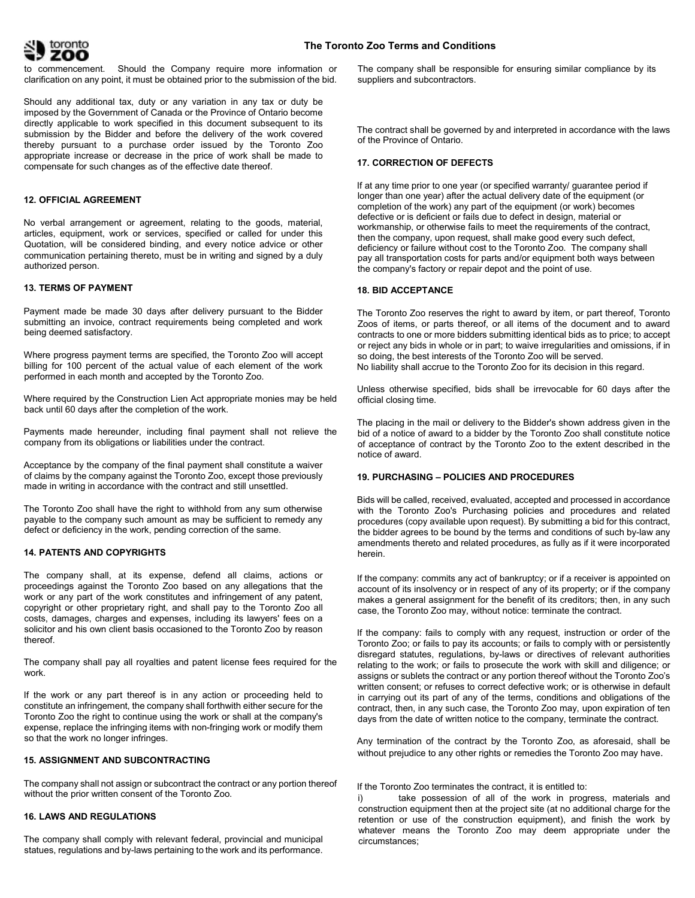

to commencement. Should the Company require more information or clarification on any point, it must be obtained prior to the submission of the bid.

Should any additional tax, duty or any variation in any tax or duty be imposed by the Government of Canada or the Province of Ontario become directly applicable to work specified in this document subsequent to its submission by the Bidder and before the delivery of the work covered thereby pursuant to a purchase order issued by the Toronto Zoo appropriate increase or decrease in the price of work shall be made to compensate for such changes as of the effective date thereof.

#### **12. OFFICIAL AGREEMENT**

No verbal arrangement or agreement, relating to the goods, material, articles, equipment, work or services, specified or called for under this Quotation, will be considered binding, and every notice advice or other communication pertaining thereto, must be in writing and signed by a duly authorized person.

#### **13. TERMS OF PAYMENT**

Payment made be made 30 days after delivery pursuant to the Bidder submitting an invoice, contract requirements being completed and work being deemed satisfactory.

Where progress payment terms are specified, the Toronto Zoo will accept billing for 100 percent of the actual value of each element of the work performed in each month and accepted by the Toronto Zoo.

Where required by the Construction Lien Act appropriate monies may be held back until 60 days after the completion of the work.

Payments made hereunder, including final payment shall not relieve the company from its obligations or liabilities under the contract.

Acceptance by the company of the final payment shall constitute a waiver of claims by the company against the Toronto Zoo, except those previously made in writing in accordance with the contract and still unsettled.

The Toronto Zoo shall have the right to withhold from any sum otherwise payable to the company such amount as may be sufficient to remedy any defect or deficiency in the work, pending correction of the same.

#### **14. PATENTS AND COPYRIGHTS**

The company shall, at its expense, defend all claims, actions or proceedings against the Toronto Zoo based on any allegations that the work or any part of the work constitutes and infringement of any patent, copyright or other proprietary right, and shall pay to the Toronto Zoo all costs, damages, charges and expenses, including its lawyers' fees on a solicitor and his own client basis occasioned to the Toronto Zoo by reason thereof.

The company shall pay all royalties and patent license fees required for the work.

If the work or any part thereof is in any action or proceeding held to constitute an infringement, the company shall forthwith either secure for the Toronto Zoo the right to continue using the work or shall at the company's expense, replace the infringing items with non-fringing work or modify them so that the work no longer infringes.

#### **15. ASSIGNMENT AND SUBCONTRACTING**

The company shall not assign or subcontract the contract or any portion thereof without the prior written consent of the Toronto Zoo.

## **16. LAWS AND REGULATIONS**

The company shall comply with relevant federal, provincial and municipal statues, regulations and by-laws pertaining to the work and its performance.

The company shall be responsible for ensuring similar compliance by its suppliers and subcontractors.

The contract shall be governed by and interpreted in accordance with the laws of the Province of Ontario.

#### **17. CORRECTION OF DEFECTS**

If at any time prior to one year (or specified warranty/ guarantee period if longer than one year) after the actual delivery date of the equipment (or completion of the work) any part of the equipment (or work) becomes defective or is deficient or fails due to defect in design, material or workmanship, or otherwise fails to meet the requirements of the contract, then the company, upon request, shall make good every such defect, deficiency or failure without cost to the Toronto Zoo. The company shall pay all transportation costs for parts and/or equipment both ways between the company's factory or repair depot and the point of use.

#### **18. BID ACCEPTANCE**

The Toronto Zoo reserves the right to award by item, or part thereof, Toronto Zoos of items, or parts thereof, or all items of the document and to award contracts to one or more bidders submitting identical bids as to price; to accept or reject any bids in whole or in part; to waive irregularities and omissions, if in so doing, the best interests of the Toronto Zoo will be served. No liability shall accrue to the Toronto Zoo for its decision in this regard.

Unless otherwise specified, bids shall be irrevocable for 60 days after the official closing time.

The placing in the mail or delivery to the Bidder's shown address given in the bid of a notice of award to a bidder by the Toronto Zoo shall constitute notice of acceptance of contract by the Toronto Zoo to the extent described in the notice of award.

### **19. PURCHASING – POLICIES AND PROCEDURES**

Bids will be called, received, evaluated, accepted and processed in accordance with the Toronto Zoo's Purchasing policies and procedures and related procedures (copy available upon request). By submitting a bid for this contract, the bidder agrees to be bound by the terms and conditions of such by-law any amendments thereto and related procedures, as fully as if it were incorporated herein.

If the company: commits any act of bankruptcy; or if a receiver is appointed on account of its insolvency or in respect of any of its property; or if the company makes a general assignment for the benefit of its creditors; then, in any such case, the Toronto Zoo may, without notice: terminate the contract.

If the company: fails to comply with any request, instruction or order of the Toronto Zoo; or fails to pay its accounts; or fails to comply with or persistently disregard statutes, regulations, by-laws or directives of relevant authorities relating to the work; or fails to prosecute the work with skill and diligence; or assigns or sublets the contract or any portion thereof without the Toronto Zoo's written consent; or refuses to correct defective work; or is otherwise in default in carrying out its part of any of the terms, conditions and obligations of the contract, then, in any such case, the Toronto Zoo may, upon expiration of ten days from the date of written notice to the company, terminate the contract.

Any termination of the contract by the Toronto Zoo, as aforesaid, shall be without prejudice to any other rights or remedies the Toronto Zoo may have.

#### If the Toronto Zoo terminates the contract, it is entitled to:

i) take possession of all of the work in progress, materials and construction equipment then at the project site (at no additional charge for the retention or use of the construction equipment), and finish the work by whatever means the Toronto Zoo may deem appropriate under the circumstances;